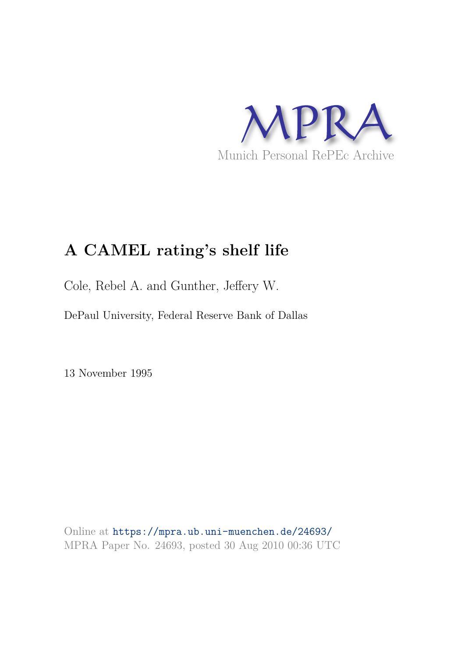

# **A CAMEL rating's shelf life**

Cole, Rebel A. and Gunther, Jeffery W.

DePaul University, Federal Reserve Bank of Dallas

13 November 1995

Online at https://mpra.ub.uni-muenchen.de/24693/ MPRA Paper No. 24693, posted 30 Aug 2010 00:36 UTC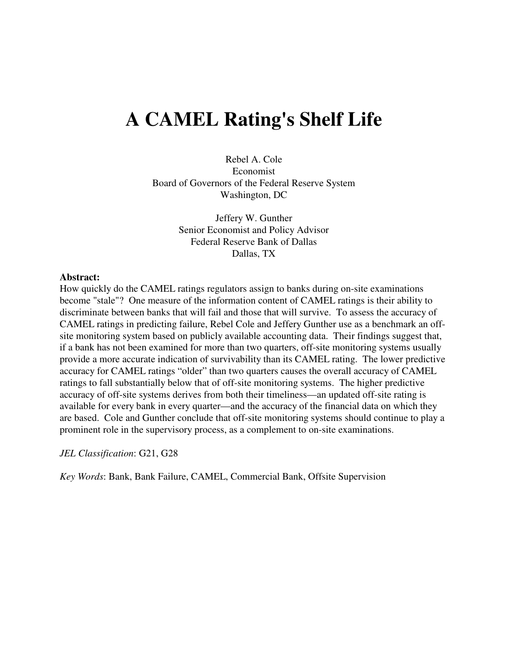# **A CAMEL Rating's Shelf Life**

Rebel A. Cole Economist Board of Governors of the Federal Reserve System Washington, DC

> Jeffery W. Gunther Senior Economist and Policy Advisor Federal Reserve Bank of Dallas Dallas, TX

#### **Abstract:**

How quickly do the CAMEL ratings regulators assign to banks during on-site examinations become "stale"? One measure of the information content of CAMEL ratings is their ability to discriminate between banks that will fail and those that will survive. To assess the accuracy of CAMEL ratings in predicting failure, Rebel Cole and Jeffery Gunther use as a benchmark an offsite monitoring system based on publicly available accounting data. Their findings suggest that, if a bank has not been examined for more than two quarters, off-site monitoring systems usually provide a more accurate indication of survivability than its CAMEL rating. The lower predictive accuracy for CAMEL ratings "older" than two quarters causes the overall accuracy of CAMEL ratings to fall substantially below that of off-site monitoring systems. The higher predictive accuracy of off-site systems derives from both their timeliness—an updated off-site rating is available for every bank in every quarter—and the accuracy of the financial data on which they are based. Cole and Gunther conclude that off-site monitoring systems should continue to play a prominent role in the supervisory process, as a complement to on-site examinations.

*JEL Classification*: G21, G28

*Key Words*: Bank, Bank Failure, CAMEL, Commercial Bank, Offsite Supervision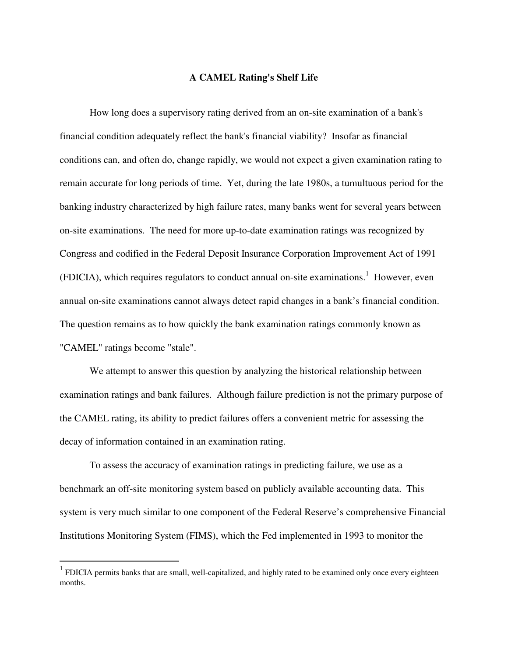## **A CAMEL Rating's Shelf Life**

How long does a supervisory rating derived from an on-site examination of a bank's financial condition adequately reflect the bank's financial viability? Insofar as financial conditions can, and often do, change rapidly, we would not expect a given examination rating to remain accurate for long periods of time. Yet, during the late 1980s, a tumultuous period for the banking industry characterized by high failure rates, many banks went for several years between on-site examinations. The need for more up-to-date examination ratings was recognized by Congress and codified in the Federal Deposit Insurance Corporation Improvement Act of 1991 (FDICIA), which requires regulators to conduct annual on-site examinations.<sup>1</sup> However, even annual on-site examinations cannot always detect rapid changes in a bank's financial condition. The question remains as to how quickly the bank examination ratings commonly known as "CAMEL" ratings become "stale".

We attempt to answer this question by analyzing the historical relationship between examination ratings and bank failures. Although failure prediction is not the primary purpose of the CAMEL rating, its ability to predict failures offers a convenient metric for assessing the decay of information contained in an examination rating.

To assess the accuracy of examination ratings in predicting failure, we use as a benchmark an off-site monitoring system based on publicly available accounting data. This system is very much similar to one component of the Federal Reserve's comprehensive Financial Institutions Monitoring System (FIMS), which the Fed implemented in 1993 to monitor the

<sup>&</sup>lt;sup>1</sup> FDICIA permits banks that are small, well-capitalized, and highly rated to be examined only once every eighteen months.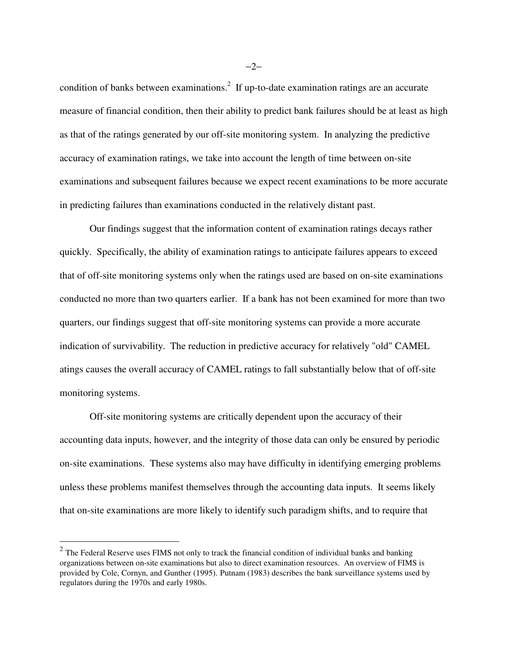condition of banks between examinations.<sup>2</sup> If up-to-date examination ratings are an accurate measure of financial condition, then their ability to predict bank failures should be at least as high as that of the ratings generated by our off-site monitoring system. In analyzing the predictive accuracy of examination ratings, we take into account the length of time between on-site examinations and subsequent failures because we expect recent examinations to be more accurate in predicting failures than examinations conducted in the relatively distant past.

Our findings suggest that the information content of examination ratings decays rather quickly. Specifically, the ability of examination ratings to anticipate failures appears to exceed that of off-site monitoring systems only when the ratings used are based on on-site examinations conducted no more than two quarters earlier. If a bank has not been examined for more than two quarters, our findings suggest that off-site monitoring systems can provide a more accurate indication of survivability. The reduction in predictive accuracy for relatively "old" CAMEL atings causes the overall accuracy of CAMEL ratings to fall substantially below that of off-site monitoring systems.

Off-site monitoring systems are critically dependent upon the accuracy of their accounting data inputs, however, and the integrity of those data can only be ensured by periodic on-site examinations. These systems also may have difficulty in identifying emerging problems unless these problems manifest themselves through the accounting data inputs. It seems likely that on-site examinations are more likely to identify such paradigm shifts, and to require that

 $\overline{a}$ 

−2−

 $2$  The Federal Reserve uses FIMS not only to track the financial condition of individual banks and banking organizations between on-site examinations but also to direct examination resources. An overview of FIMS is provided by Cole, Cornyn, and Gunther (1995). Putnam (1983) describes the bank surveillance systems used by regulators during the 1970s and early 1980s.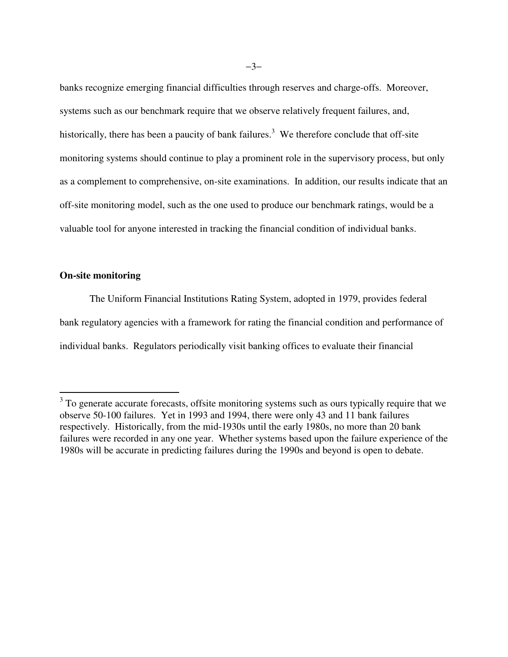banks recognize emerging financial difficulties through reserves and charge-offs. Moreover, systems such as our benchmark require that we observe relatively frequent failures, and, historically, there has been a paucity of bank failures.<sup>3</sup> We therefore conclude that off-site monitoring systems should continue to play a prominent role in the supervisory process, but only as a complement to comprehensive, on-site examinations. In addition, our results indicate that an off-site monitoring model, such as the one used to produce our benchmark ratings, would be a valuable tool for anyone interested in tracking the financial condition of individual banks.

### **On-site monitoring**

 $\overline{a}$ 

The Uniform Financial Institutions Rating System, adopted in 1979, provides federal bank regulatory agencies with a framework for rating the financial condition and performance of individual banks. Regulators periodically visit banking offices to evaluate their financial

 $3$  To generate accurate forecasts, offsite monitoring systems such as ours typically require that we observe 50-100 failures. Yet in 1993 and 1994, there were only 43 and 11 bank failures respectively. Historically, from the mid-1930s until the early 1980s, no more than 20 bank failures were recorded in any one year. Whether systems based upon the failure experience of the 1980s will be accurate in predicting failures during the 1990s and beyond is open to debate.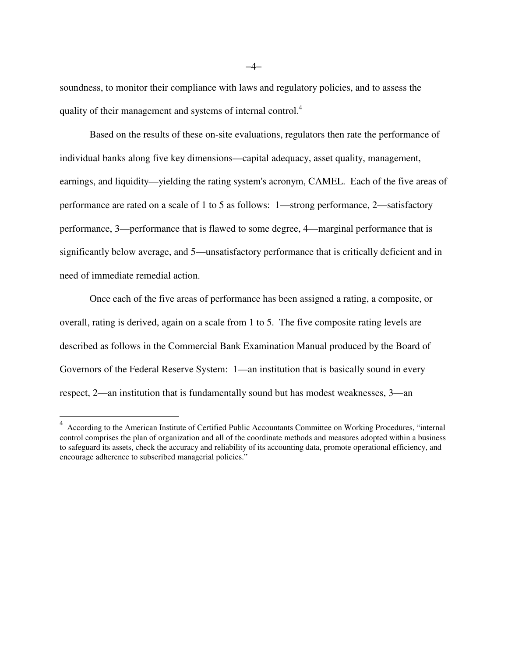soundness, to monitor their compliance with laws and regulatory policies, and to assess the quality of their management and systems of internal control.<sup>4</sup>

Based on the results of these on-site evaluations, regulators then rate the performance of individual banks along five key dimensions—capital adequacy, asset quality, management, earnings, and liquidity—yielding the rating system's acronym, CAMEL. Each of the five areas of performance are rated on a scale of 1 to 5 as follows: 1—strong performance, 2—satisfactory performance, 3—performance that is flawed to some degree, 4—marginal performance that is significantly below average, and 5—unsatisfactory performance that is critically deficient and in need of immediate remedial action.

Once each of the five areas of performance has been assigned a rating, a composite, or overall, rating is derived, again on a scale from 1 to 5. The five composite rating levels are described as follows in the Commercial Bank Examination Manual produced by the Board of Governors of the Federal Reserve System: 1—an institution that is basically sound in every respect, 2—an institution that is fundamentally sound but has modest weaknesses, 3—an

 4 According to the American Institute of Certified Public Accountants Committee on Working Procedures, "internal control comprises the plan of organization and all of the coordinate methods and measures adopted within a business to safeguard its assets, check the accuracy and reliability of its accounting data, promote operational efficiency, and encourage adherence to subscribed managerial policies."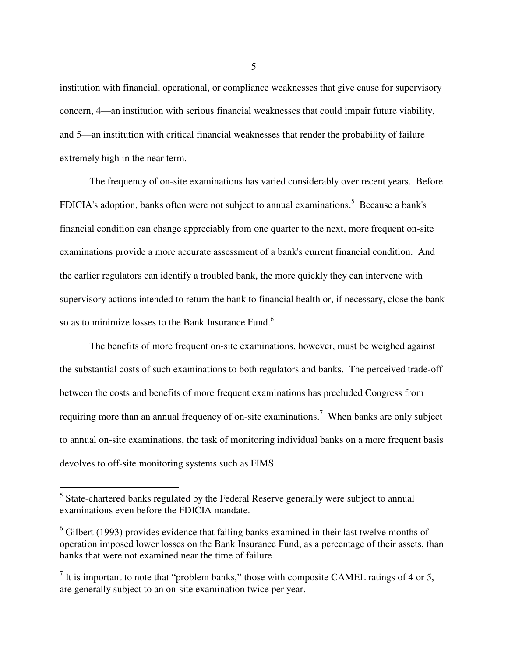institution with financial, operational, or compliance weaknesses that give cause for supervisory concern, 4—an institution with serious financial weaknesses that could impair future viability, and 5—an institution with critical financial weaknesses that render the probability of failure extremely high in the near term.

The frequency of on-site examinations has varied considerably over recent years. Before FDICIA's adoption, banks often were not subject to annual examinations.<sup>5</sup> Because a bank's financial condition can change appreciably from one quarter to the next, more frequent on-site examinations provide a more accurate assessment of a bank's current financial condition. And the earlier regulators can identify a troubled bank, the more quickly they can intervene with supervisory actions intended to return the bank to financial health or, if necessary, close the bank so as to minimize losses to the Bank Insurance Fund.<sup>6</sup>

The benefits of more frequent on-site examinations, however, must be weighed against the substantial costs of such examinations to both regulators and banks. The perceived trade-off between the costs and benefits of more frequent examinations has precluded Congress from requiring more than an annual frequency of on-site examinations.<sup>7</sup> When banks are only subject to annual on-site examinations, the task of monitoring individual banks on a more frequent basis devolves to off-site monitoring systems such as FIMS.

 $\overline{a}$ 

−5−

<sup>&</sup>lt;sup>5</sup> State-chartered banks regulated by the Federal Reserve generally were subject to annual examinations even before the FDICIA mandate.

 $6$  Gilbert (1993) provides evidence that failing banks examined in their last twelve months of operation imposed lower losses on the Bank Insurance Fund, as a percentage of their assets, than banks that were not examined near the time of failure.

 $<sup>7</sup>$  It is important to note that "problem banks," those with composite CAMEL ratings of 4 or 5,</sup> are generally subject to an on-site examination twice per year.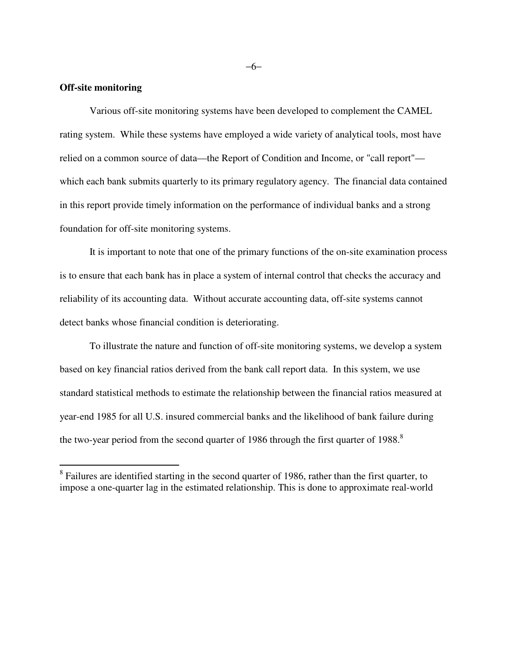#### **Off-site monitoring**

-

Various off-site monitoring systems have been developed to complement the CAMEL rating system. While these systems have employed a wide variety of analytical tools, most have relied on a common source of data—the Report of Condition and Income, or "call report" which each bank submits quarterly to its primary regulatory agency. The financial data contained in this report provide timely information on the performance of individual banks and a strong foundation for off-site monitoring systems.

It is important to note that one of the primary functions of the on-site examination process is to ensure that each bank has in place a system of internal control that checks the accuracy and reliability of its accounting data. Without accurate accounting data, off-site systems cannot detect banks whose financial condition is deteriorating.

To illustrate the nature and function of off-site monitoring systems, we develop a system based on key financial ratios derived from the bank call report data. In this system, we use standard statistical methods to estimate the relationship between the financial ratios measured at year-end 1985 for all U.S. insured commercial banks and the likelihood of bank failure during the two-year period from the second quarter of 1986 through the first quarter of 1988.<sup>8</sup>

−6−

<sup>&</sup>lt;sup>8</sup> Failures are identified starting in the second quarter of 1986, rather than the first quarter, to impose a one-quarter lag in the estimated relationship. This is done to approximate real-world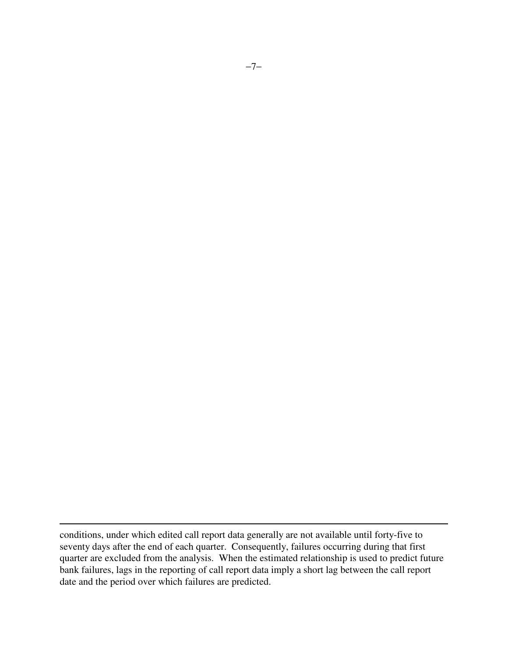conditions, under which edited call report data generally are not available until forty-five to seventy days after the end of each quarter. Consequently, failures occurring during that first quarter are excluded from the analysis. When the estimated relationship is used to predict future bank failures, lags in the reporting of call report data imply a short lag between the call report date and the period over which failures are predicted.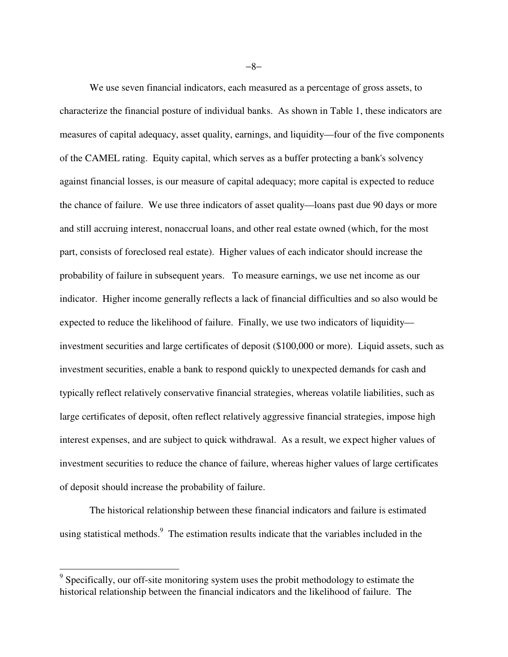We use seven financial indicators, each measured as a percentage of gross assets, to characterize the financial posture of individual banks. As shown in Table 1, these indicators are measures of capital adequacy, asset quality, earnings, and liquidity—four of the five components of the CAMEL rating. Equity capital, which serves as a buffer protecting a bank's solvency against financial losses, is our measure of capital adequacy; more capital is expected to reduce the chance of failure. We use three indicators of asset quality—loans past due 90 days or more and still accruing interest, nonaccrual loans, and other real estate owned (which, for the most part, consists of foreclosed real estate). Higher values of each indicator should increase the probability of failure in subsequent years. To measure earnings, we use net income as our indicator. Higher income generally reflects a lack of financial difficulties and so also would be expected to reduce the likelihood of failure. Finally, we use two indicators of liquidity investment securities and large certificates of deposit (\$100,000 or more). Liquid assets, such as investment securities, enable a bank to respond quickly to unexpected demands for cash and typically reflect relatively conservative financial strategies, whereas volatile liabilities, such as large certificates of deposit, often reflect relatively aggressive financial strategies, impose high interest expenses, and are subject to quick withdrawal. As a result, we expect higher values of investment securities to reduce the chance of failure, whereas higher values of large certificates of deposit should increase the probability of failure.

The historical relationship between these financial indicators and failure is estimated using statistical methods.<sup>9</sup> The estimation results indicate that the variables included in the

 $\overline{a}$ 

−8−

<sup>&</sup>lt;sup>9</sup> Specifically, our off-site monitoring system uses the probit methodology to estimate the historical relationship between the financial indicators and the likelihood of failure. The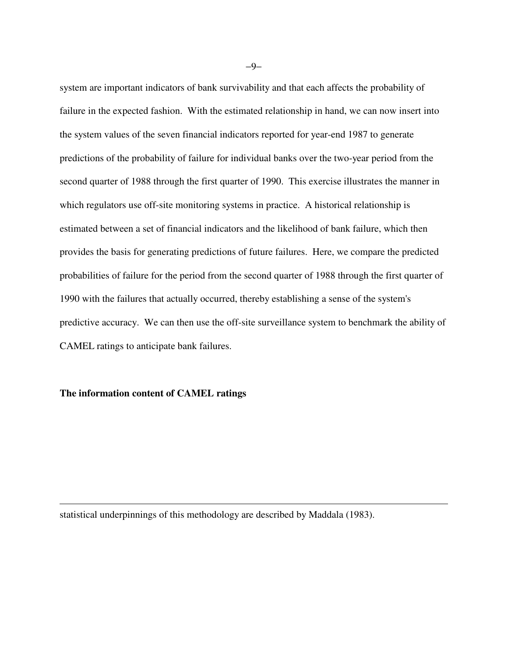system are important indicators of bank survivability and that each affects the probability of failure in the expected fashion. With the estimated relationship in hand, we can now insert into the system values of the seven financial indicators reported for year-end 1987 to generate predictions of the probability of failure for individual banks over the two-year period from the second quarter of 1988 through the first quarter of 1990. This exercise illustrates the manner in which regulators use off-site monitoring systems in practice. A historical relationship is estimated between a set of financial indicators and the likelihood of bank failure, which then provides the basis for generating predictions of future failures. Here, we compare the predicted probabilities of failure for the period from the second quarter of 1988 through the first quarter of 1990 with the failures that actually occurred, thereby establishing a sense of the system's predictive accuracy. We can then use the off-site surveillance system to benchmark the ability of CAMEL ratings to anticipate bank failures.

#### **The information content of CAMEL ratings**

 $\overline{a}$ 

statistical underpinnings of this methodology are described by Maddala (1983).

−9−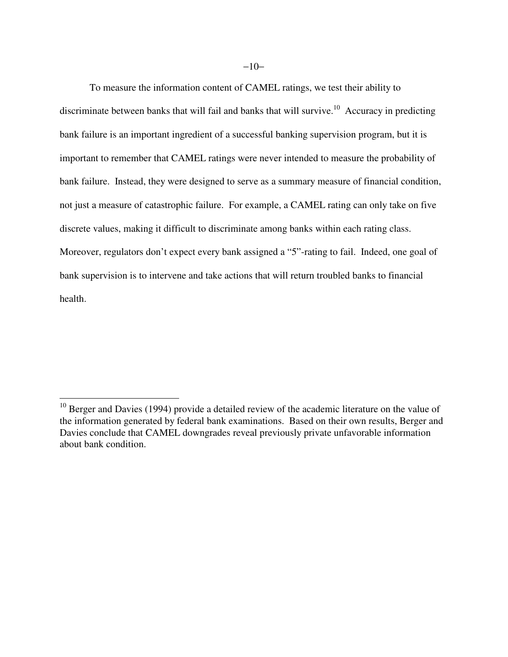To measure the information content of CAMEL ratings, we test their ability to discriminate between banks that will fail and banks that will survive.<sup>10</sup> Accuracy in predicting bank failure is an important ingredient of a successful banking supervision program, but it is important to remember that CAMEL ratings were never intended to measure the probability of bank failure. Instead, they were designed to serve as a summary measure of financial condition, not just a measure of catastrophic failure. For example, a CAMEL rating can only take on five discrete values, making it difficult to discriminate among banks within each rating class. Moreover, regulators don't expect every bank assigned a "5"-rating to fail. Indeed, one goal of bank supervision is to intervene and take actions that will return troubled banks to financial health.

-

 $10$  Berger and Davies (1994) provide a detailed review of the academic literature on the value of the information generated by federal bank examinations. Based on their own results, Berger and Davies conclude that CAMEL downgrades reveal previously private unfavorable information about bank condition.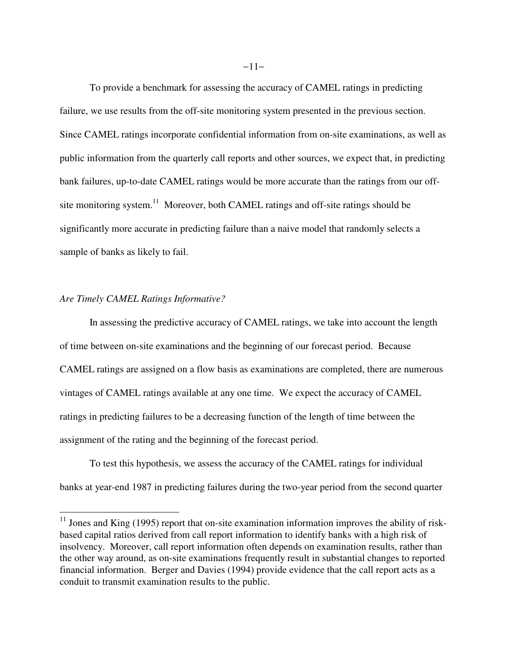To provide a benchmark for assessing the accuracy of CAMEL ratings in predicting failure, we use results from the off-site monitoring system presented in the previous section. Since CAMEL ratings incorporate confidential information from on-site examinations, as well as public information from the quarterly call reports and other sources, we expect that, in predicting bank failures, up-to-date CAMEL ratings would be more accurate than the ratings from our offsite monitoring system.<sup>11</sup> Moreover, both CAMEL ratings and off-site ratings should be significantly more accurate in predicting failure than a naive model that randomly selects a sample of banks as likely to fail.

#### *Are Timely CAMEL Ratings Informative?*

-

In assessing the predictive accuracy of CAMEL ratings, we take into account the length of time between on-site examinations and the beginning of our forecast period. Because CAMEL ratings are assigned on a flow basis as examinations are completed, there are numerous vintages of CAMEL ratings available at any one time. We expect the accuracy of CAMEL ratings in predicting failures to be a decreasing function of the length of time between the assignment of the rating and the beginning of the forecast period.

 To test this hypothesis, we assess the accuracy of the CAMEL ratings for individual banks at year-end 1987 in predicting failures during the two-year period from the second quarter

 $11$  Jones and King (1995) report that on-site examination information improves the ability of riskbased capital ratios derived from call report information to identify banks with a high risk of insolvency. Moreover, call report information often depends on examination results, rather than the other way around, as on-site examinations frequently result in substantial changes to reported financial information. Berger and Davies (1994) provide evidence that the call report acts as a conduit to transmit examination results to the public.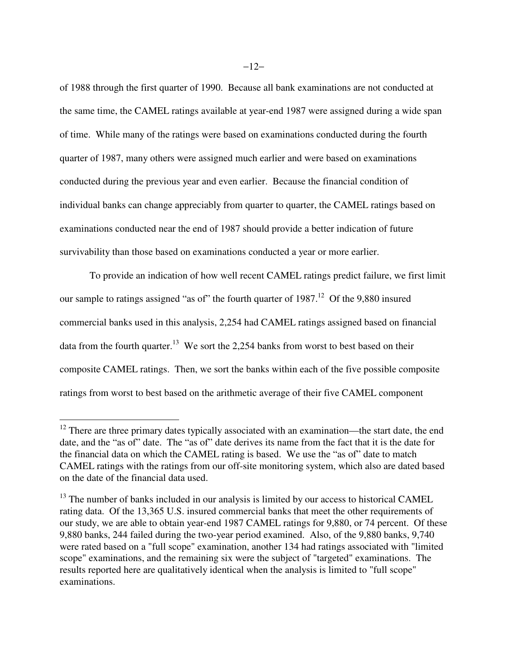of 1988 through the first quarter of 1990. Because all bank examinations are not conducted at the same time, the CAMEL ratings available at year-end 1987 were assigned during a wide span of time. While many of the ratings were based on examinations conducted during the fourth quarter of 1987, many others were assigned much earlier and were based on examinations conducted during the previous year and even earlier. Because the financial condition of individual banks can change appreciably from quarter to quarter, the CAMEL ratings based on examinations conducted near the end of 1987 should provide a better indication of future survivability than those based on examinations conducted a year or more earlier.

To provide an indication of how well recent CAMEL ratings predict failure, we first limit our sample to ratings assigned "as of" the fourth quarter of  $1987<sup>12</sup>$  Of the 9,880 insured commercial banks used in this analysis, 2,254 had CAMEL ratings assigned based on financial data from the fourth quarter.<sup>13</sup> We sort the 2,254 banks from worst to best based on their composite CAMEL ratings. Then, we sort the banks within each of the five possible composite ratings from worst to best based on the arithmetic average of their five CAMEL component

 $12$  There are three primary dates typically associated with an examination—the start date, the end date, and the "as of" date. The "as of" date derives its name from the fact that it is the date for the financial data on which the CAMEL rating is based. We use the "as of" date to match CAMEL ratings with the ratings from our off-site monitoring system, which also are dated based on the date of the financial data used.

<sup>&</sup>lt;sup>13</sup> The number of banks included in our analysis is limited by our access to historical CAMEL rating data. Of the 13,365 U.S. insured commercial banks that meet the other requirements of our study, we are able to obtain year-end 1987 CAMEL ratings for 9,880, or 74 percent. Of these 9,880 banks, 244 failed during the two-year period examined. Also, of the 9,880 banks, 9,740 were rated based on a "full scope" examination, another 134 had ratings associated with "limited scope" examinations, and the remaining six were the subject of "targeted" examinations. The results reported here are qualitatively identical when the analysis is limited to "full scope" examinations.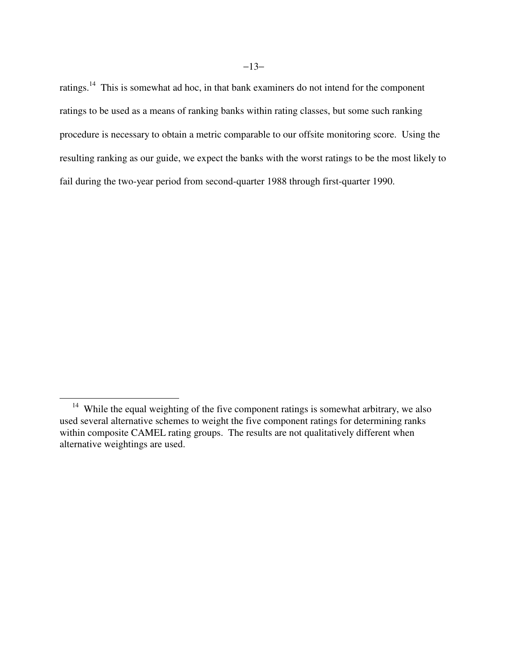ratings.<sup>14</sup> This is somewhat ad hoc, in that bank examiners do not intend for the component ratings to be used as a means of ranking banks within rating classes, but some such ranking procedure is necessary to obtain a metric comparable to our offsite monitoring score. Using the resulting ranking as our guide, we expect the banks with the worst ratings to be the most likely to fail during the two-year period from second-quarter 1988 through first-quarter 1990.

<sup>&</sup>lt;sup>14</sup> While the equal weighting of the five component ratings is somewhat arbitrary, we also used several alternative schemes to weight the five component ratings for determining ranks within composite CAMEL rating groups. The results are not qualitatively different when alternative weightings are used.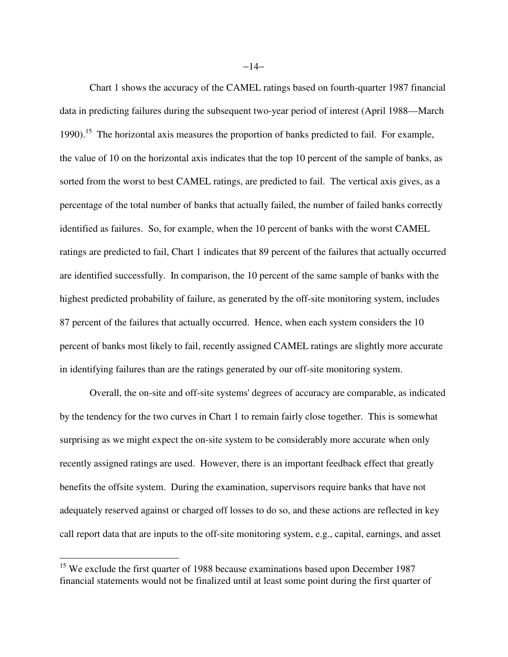Chart 1 shows the accuracy of the CAMEL ratings based on fourth-quarter 1987 financial data in predicting failures during the subsequent two-year period of interest (April 1988—March 1990).<sup>15</sup> The horizontal axis measures the proportion of banks predicted to fail. For example, the value of 10 on the horizontal axis indicates that the top 10 percent of the sample of banks, as sorted from the worst to best CAMEL ratings, are predicted to fail. The vertical axis gives, as a percentage of the total number of banks that actually failed, the number of failed banks correctly identified as failures. So, for example, when the 10 percent of banks with the worst CAMEL ratings are predicted to fail, Chart 1 indicates that 89 percent of the failures that actually occurred are identified successfully. In comparison, the 10 percent of the same sample of banks with the highest predicted probability of failure, as generated by the off-site monitoring system, includes 87 percent of the failures that actually occurred. Hence, when each system considers the 10 percent of banks most likely to fail, recently assigned CAMEL ratings are slightly more accurate in identifying failures than are the ratings generated by our off-site monitoring system.

Overall, the on-site and off-site systems' degrees of accuracy are comparable, as indicated by the tendency for the two curves in Chart 1 to remain fairly close together. This is somewhat surprising as we might expect the on-site system to be considerably more accurate when only recently assigned ratings are used. However, there is an important feedback effect that greatly benefits the offsite system. During the examination, supervisors require banks that have not adequately reserved against or charged off losses to do so, and these actions are reflected in key call report data that are inputs to the off-site monitoring system, e.g., capital, earnings, and asset

<u>.</u>

<sup>&</sup>lt;sup>15</sup> We exclude the first quarter of 1988 because examinations based upon December 1987 financial statements would not be finalized until at least some point during the first quarter of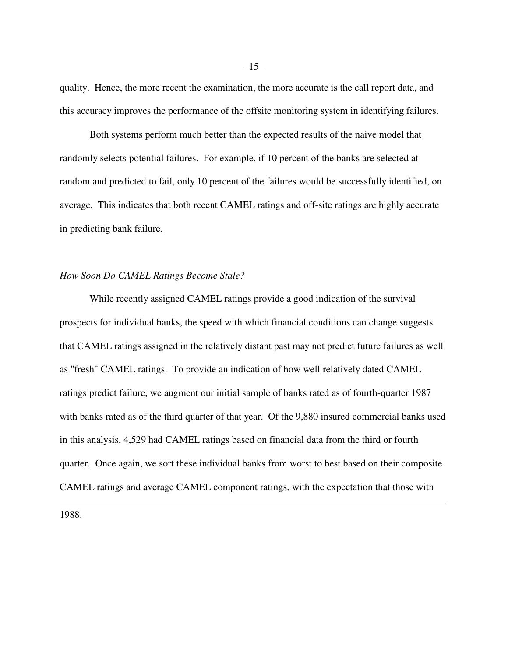quality. Hence, the more recent the examination, the more accurate is the call report data, and this accuracy improves the performance of the offsite monitoring system in identifying failures.

Both systems perform much better than the expected results of the naive model that randomly selects potential failures. For example, if 10 percent of the banks are selected at random and predicted to fail, only 10 percent of the failures would be successfully identified, on average. This indicates that both recent CAMEL ratings and off-site ratings are highly accurate in predicting bank failure.

## *How Soon Do CAMEL Ratings Become Stale?*

While recently assigned CAMEL ratings provide a good indication of the survival prospects for individual banks, the speed with which financial conditions can change suggests that CAMEL ratings assigned in the relatively distant past may not predict future failures as well as "fresh" CAMEL ratings. To provide an indication of how well relatively dated CAMEL ratings predict failure, we augment our initial sample of banks rated as of fourth-quarter 1987 with banks rated as of the third quarter of that year. Of the 9,880 insured commercial banks used in this analysis, 4,529 had CAMEL ratings based on financial data from the third or fourth quarter. Once again, we sort these individual banks from worst to best based on their composite CAMEL ratings and average CAMEL component ratings, with the expectation that those with

1988.

 $\overline{a}$ 

 $-15-$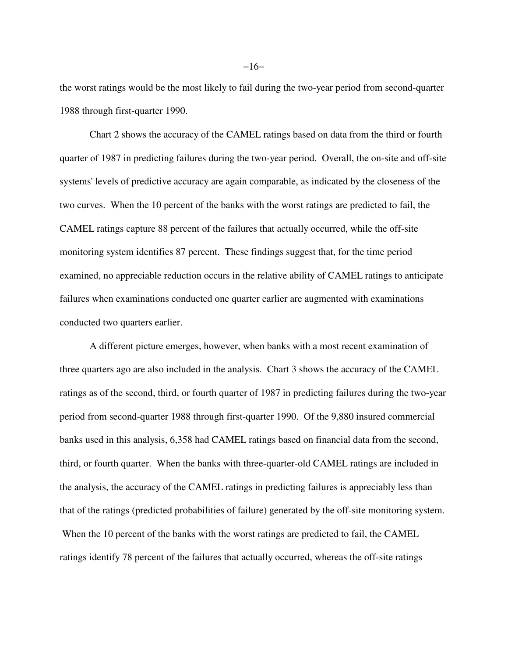the worst ratings would be the most likely to fail during the two-year period from second-quarter 1988 through first-quarter 1990.

 Chart 2 shows the accuracy of the CAMEL ratings based on data from the third or fourth quarter of 1987 in predicting failures during the two-year period. Overall, the on-site and off-site systems' levels of predictive accuracy are again comparable, as indicated by the closeness of the two curves. When the 10 percent of the banks with the worst ratings are predicted to fail, the CAMEL ratings capture 88 percent of the failures that actually occurred, while the off-site monitoring system identifies 87 percent. These findings suggest that, for the time period examined, no appreciable reduction occurs in the relative ability of CAMEL ratings to anticipate failures when examinations conducted one quarter earlier are augmented with examinations conducted two quarters earlier.

A different picture emerges, however, when banks with a most recent examination of three quarters ago are also included in the analysis. Chart 3 shows the accuracy of the CAMEL ratings as of the second, third, or fourth quarter of 1987 in predicting failures during the two-year period from second-quarter 1988 through first-quarter 1990. Of the 9,880 insured commercial banks used in this analysis, 6,358 had CAMEL ratings based on financial data from the second, third, or fourth quarter. When the banks with three-quarter-old CAMEL ratings are included in the analysis, the accuracy of the CAMEL ratings in predicting failures is appreciably less than that of the ratings (predicted probabilities of failure) generated by the off-site monitoring system. When the 10 percent of the banks with the worst ratings are predicted to fail, the CAMEL ratings identify 78 percent of the failures that actually occurred, whereas the off-site ratings

−16−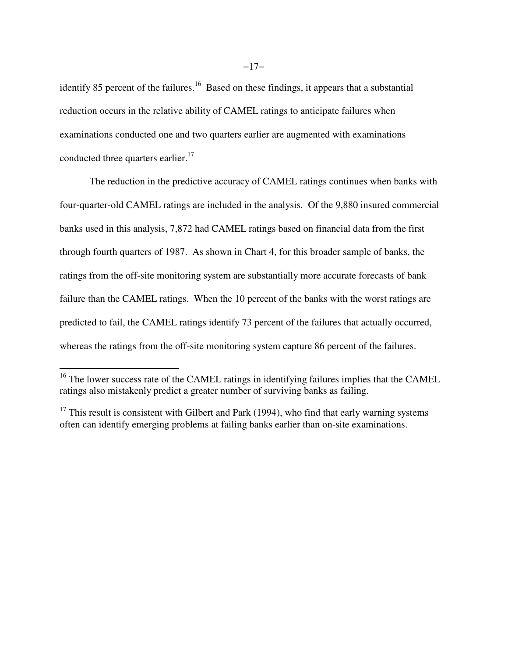identify 85 percent of the failures.<sup>16</sup> Based on these findings, it appears that a substantial reduction occurs in the relative ability of CAMEL ratings to anticipate failures when examinations conducted one and two quarters earlier are augmented with examinations conducted three quarters earlier.<sup>17</sup>

The reduction in the predictive accuracy of CAMEL ratings continues when banks with four-quarter-old CAMEL ratings are included in the analysis. Of the 9,880 insured commercial banks used in this analysis, 7,872 had CAMEL ratings based on financial data from the first through fourth quarters of 1987. As shown in Chart 4, for this broader sample of banks, the ratings from the off-site monitoring system are substantially more accurate forecasts of bank failure than the CAMEL ratings. When the 10 percent of the banks with the worst ratings are predicted to fail, the CAMEL ratings identify 73 percent of the failures that actually occurred, whereas the ratings from the off-site monitoring system capture 86 percent of the failures.

 $16$  The lower success rate of the CAMEL ratings in identifying failures implies that the CAMEL ratings also mistakenly predict a greater number of surviving banks as failing.

 $17$  This result is consistent with Gilbert and Park (1994), who find that early warning systems often can identify emerging problems at failing banks earlier than on-site examinations.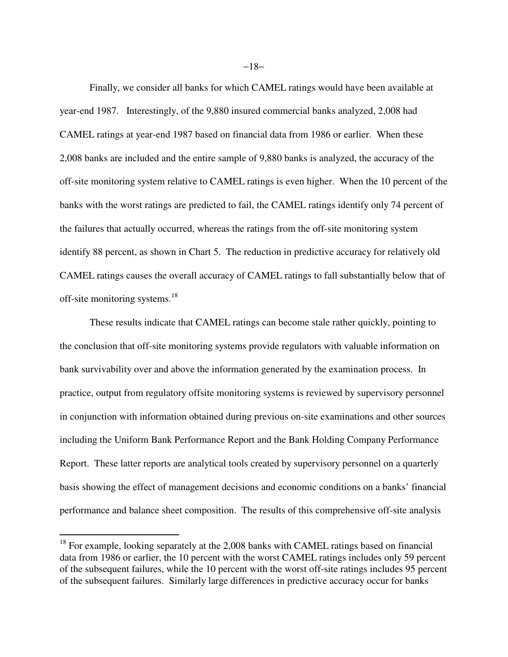Finally, we consider all banks for which CAMEL ratings would have been available at year-end 1987. Interestingly, of the 9,880 insured commercial banks analyzed, 2,008 had CAMEL ratings at year-end 1987 based on financial data from 1986 or earlier. When these 2,008 banks are included and the entire sample of 9,880 banks is analyzed, the accuracy of the off-site monitoring system relative to CAMEL ratings is even higher. When the 10 percent of the banks with the worst ratings are predicted to fail, the CAMEL ratings identify only 74 percent of the failures that actually occurred, whereas the ratings from the off-site monitoring system identify 88 percent, as shown in Chart 5. The reduction in predictive accuracy for relatively old CAMEL ratings causes the overall accuracy of CAMEL ratings to fall substantially below that of off-site monitoring systems.<sup>18</sup>

These results indicate that CAMEL ratings can become stale rather quickly, pointing to the conclusion that off-site monitoring systems provide regulators with valuable information on bank survivability over and above the information generated by the examination process. In practice, output from regulatory offsite monitoring systems is reviewed by supervisory personnel in conjunction with information obtained during previous on-site examinations and other sources including the Uniform Bank Performance Report and the Bank Holding Company Performance Report. These latter reports are analytical tools created by supervisory personnel on a quarterly basis showing the effect of management decisions and economic conditions on a banks' financial performance and balance sheet composition. The results of this comprehensive off-site analysis

-

−18−

 $18$  For example, looking separately at the 2,008 banks with CAMEL ratings based on financial data from 1986 or earlier, the 10 percent with the worst CAMEL ratings includes only 59 percent of the subsequent failures, while the 10 percent with the worst off-site ratings includes 95 percent of the subsequent failures. Similarly large differences in predictive accuracy occur for banks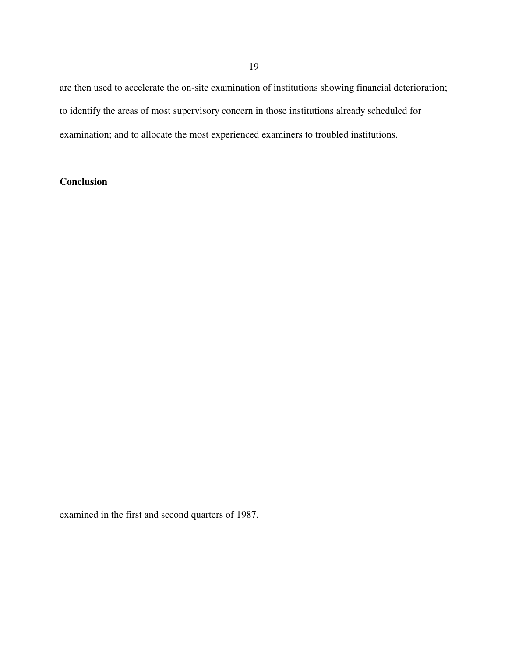are then used to accelerate the on-site examination of institutions showing financial deterioration; to identify the areas of most supervisory concern in those institutions already scheduled for examination; and to allocate the most experienced examiners to troubled institutions.

## **Conclusion**

 $\overline{a}$ 

examined in the first and second quarters of 1987.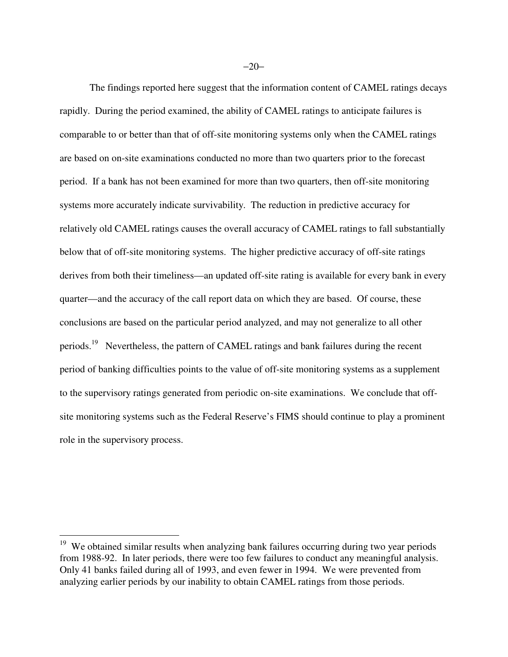The findings reported here suggest that the information content of CAMEL ratings decays rapidly. During the period examined, the ability of CAMEL ratings to anticipate failures is comparable to or better than that of off-site monitoring systems only when the CAMEL ratings are based on on-site examinations conducted no more than two quarters prior to the forecast period. If a bank has not been examined for more than two quarters, then off-site monitoring systems more accurately indicate survivability. The reduction in predictive accuracy for relatively old CAMEL ratings causes the overall accuracy of CAMEL ratings to fall substantially below that of off-site monitoring systems. The higher predictive accuracy of off-site ratings derives from both their timeliness—an updated off-site rating is available for every bank in every quarter—and the accuracy of the call report data on which they are based. Of course, these conclusions are based on the particular period analyzed, and may not generalize to all other periods.<sup>19</sup> Nevertheless, the pattern of CAMEL ratings and bank failures during the recent period of banking difficulties points to the value of off-site monitoring systems as a supplement to the supervisory ratings generated from periodic on-site examinations. We conclude that offsite monitoring systems such as the Federal Reserve's FIMS should continue to play a prominent role in the supervisory process.

<sup>&</sup>lt;sup>19</sup> We obtained similar results when analyzing bank failures occurring during two year periods from 1988-92. In later periods, there were too few failures to conduct any meaningful analysis. Only 41 banks failed during all of 1993, and even fewer in 1994. We were prevented from analyzing earlier periods by our inability to obtain CAMEL ratings from those periods.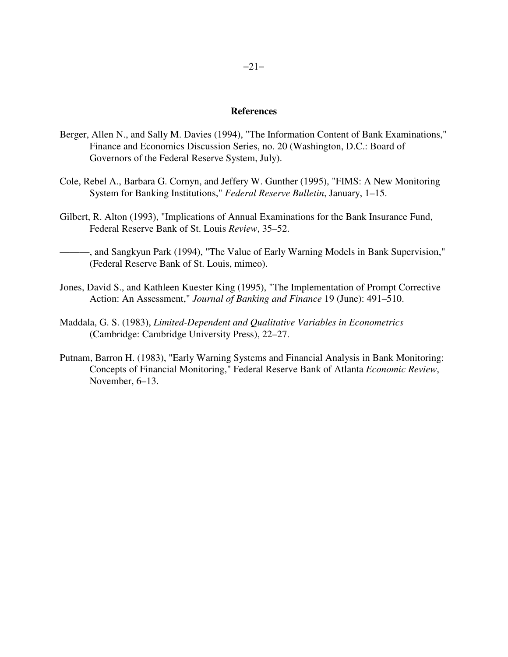#### **References**

- Berger, Allen N., and Sally M. Davies (1994), "The Information Content of Bank Examinations," Finance and Economics Discussion Series, no. 20 (Washington, D.C.: Board of Governors of the Federal Reserve System, July).
- Cole, Rebel A., Barbara G. Cornyn, and Jeffery W. Gunther (1995), "FIMS: A New Monitoring System for Banking Institutions," *Federal Reserve Bulletin*, January, 1–15.
- Gilbert, R. Alton (1993), "Implications of Annual Examinations for the Bank Insurance Fund, Federal Reserve Bank of St. Louis *Review*, 35–52.

———, and Sangkyun Park (1994), "The Value of Early Warning Models in Bank Supervision," (Federal Reserve Bank of St. Louis, mimeo).

- Jones, David S., and Kathleen Kuester King (1995), "The Implementation of Prompt Corrective Action: An Assessment," *Journal of Banking and Finance* 19 (June): 491–510.
- Maddala, G. S. (1983), *Limited-Dependent and Qualitative Variables in Econometrics* (Cambridge: Cambridge University Press), 22–27.
- Putnam, Barron H. (1983), "Early Warning Systems and Financial Analysis in Bank Monitoring: Concepts of Financial Monitoring," Federal Reserve Bank of Atlanta *Economic Review*, November, 6–13.